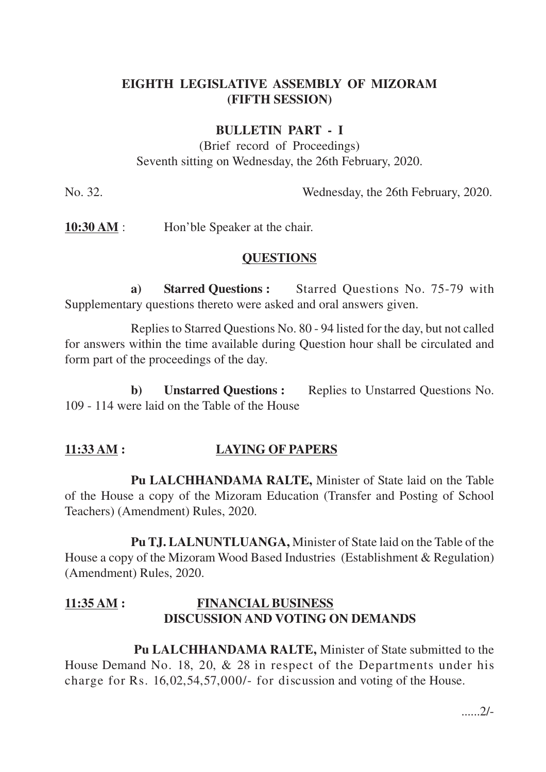# **EIGHTH LEGISLATIVE ASSEMBLY OF MIZORAM (FIFTH SESSION)**

## **BULLETIN PART - I**

(Brief record of Proceedings) Seventh sitting on Wednesday, the 26th February, 2020.

No. 32. Wednesday, the 26th February, 2020.

**10:30 AM** : Hon'ble Speaker at the chair.

#### **QUESTIONS**

**a) Starred Questions :** Starred Questions No. 75-79 with Supplementary questions thereto were asked and oral answers given.

Replies to Starred Questions No. 80 - 94 listed for the day, but not called for answers within the time available during Question hour shall be circulated and form part of the proceedings of the day.

**b) Unstarred Questions :** Replies to Unstarred Questions No. 109 - 114 were laid on the Table of the House

## **11:33 AM : LAYING OF PAPERS**

**Pu LALCHHANDAMA RALTE,** Minister of State laid on the Table of the House a copy of the Mizoram Education (Transfer and Posting of School Teachers) (Amendment) Rules, 2020.

**Pu TJ. LALNUNTLUANGA,** Minister of State laid on the Table of the House a copy of the Mizoram Wood Based Industries (Establishment & Regulation) (Amendment) Rules, 2020.

# **11:35 AM : FINANCIAL BUSINESS DISCUSSION AND VOTING ON DEMANDS**

**Pu LALCHHANDAMA RALTE,** Minister of State submitted to the House Demand No. 18, 20, & 28 in respect of the Departments under his charge for Rs. 16,02,54,57,000/- for discussion and voting of the House.

......2/-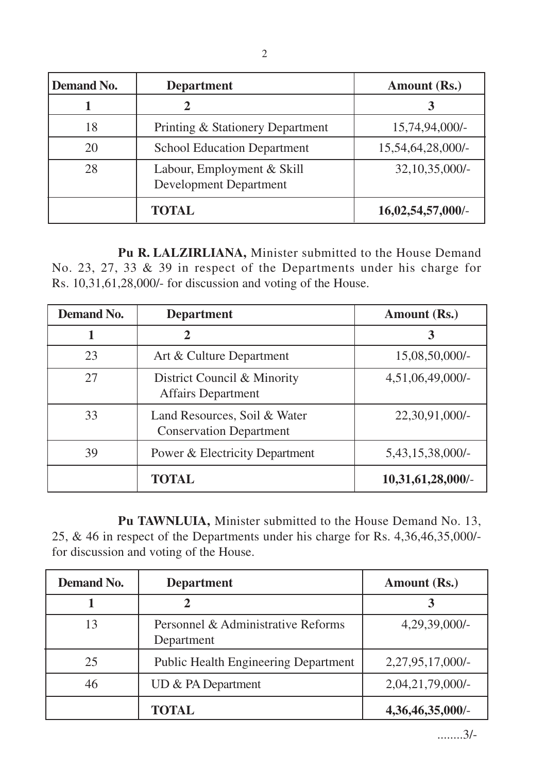| <b>Demand No.</b> | <b>Department</b>                                           | Amount (Rs.)      |
|-------------------|-------------------------------------------------------------|-------------------|
|                   |                                                             |                   |
| 18                | Printing & Stationery Department                            | 15,74,94,000/-    |
| 20                | <b>School Education Department</b>                          | 15,54,64,28,000/- |
| 28                | Labour, Employment & Skill<br><b>Development Department</b> | $32,10,35,000/$ - |
|                   | <b>TOTAL</b>                                                | 16,02,54,57,000/- |

**Pu R. LALZIRLIANA,** Minister submitted to the House Demand No. 23, 27, 33 & 39 in respect of the Departments under his charge for Rs. 10,31,61,28,000/- for discussion and voting of the House.

| <b>Demand No.</b> | <b>Department</b>                                              | Amount (Rs.)        |
|-------------------|----------------------------------------------------------------|---------------------|
|                   | 2                                                              |                     |
| 23                | Art & Culture Department                                       | 15,08,50,000/-      |
| 27                | District Council & Minority<br><b>Affairs Department</b>       | $4,51,06,49,000/$ - |
| 33                | Land Resources, Soil & Water<br><b>Conservation Department</b> | 22,30,91,000/-      |
| 39                | <b>Power &amp; Electricity Department</b>                      | 5,43,15,38,000/-    |
|                   | <b>TOTAL</b>                                                   | 10,31,61,28,000/    |

**Pu TAWNLUIA,** Minister submitted to the House Demand No. 13, 25, & 46 in respect of the Departments under his charge for Rs. 4,36,46,35,000/ for discussion and voting of the House.

| <b>Demand No.</b> | <b>Department</b>                                | Amount (Rs.)        |
|-------------------|--------------------------------------------------|---------------------|
|                   |                                                  |                     |
| 13                | Personnel & Administrative Reforms<br>Department | $4,29,39,000/$ -    |
| 25                | <b>Public Health Engineering Department</b>      | 2,27,95,17,000/-    |
| 46                | UD & PA Department                               | $2,04,21,79,000/$ - |
|                   | TOTAL                                            | 4,36,46,35,000/-    |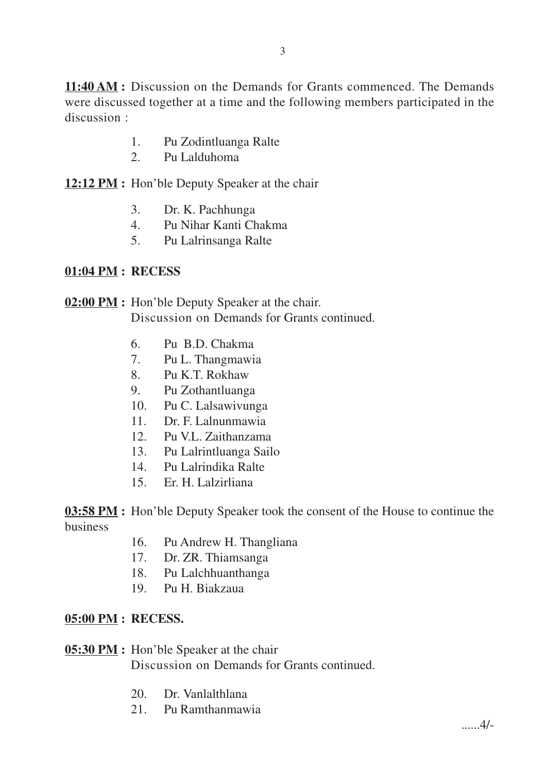**11:40 AM :** Discussion on the Demands for Grants commenced. The Demands were discussed together at a time and the following members participated in the discussion :

- 1. Pu Zodintluanga Ralte
- 2. Pu Lalduhoma

**12:12 PM :** Hon'ble Deputy Speaker at the chair

- 3. Dr. K. Pachhunga
- 4. Pu Nihar Kanti Chakma
- 5. Pu Lalrinsanga Ralte

### **01:04 PM : RECESS**

**02:00 PM :** Hon'ble Deputy Speaker at the chair. Discussion on Demands for Grants continued.

- 6. Pu B.D. Chakma
- 7. Pu L. Thangmawia
- 8. Pu K.T. Rokhaw
- 9. Pu Zothantluanga
- 10. Pu C. Lalsawivunga
- 11. Dr. F. Lalnunmawia
- 12. Pu V.L. Zaithanzama
- 13. Pu Lalrintluanga Sailo
- 14. Pu Lalrindika Ralte
- 15. Er. H. Lalzirliana

**03:58 PM** : Hon'ble Deputy Speaker took the consent of the House to continue the business

- 16. Pu Andrew H. Thangliana
- 17. Dr. ZR. Thiamsanga
- 18. Pu Lalchhuanthanga
- 19. Pu H. Biakzaua

### **05:00 PM : RECESS.**

#### **05:30 PM :** Hon'ble Speaker at the chair Discussion on Demands for Grants continued.

- 20. Dr. Vanlalthlana
- 21. Pu Ramthanmawia